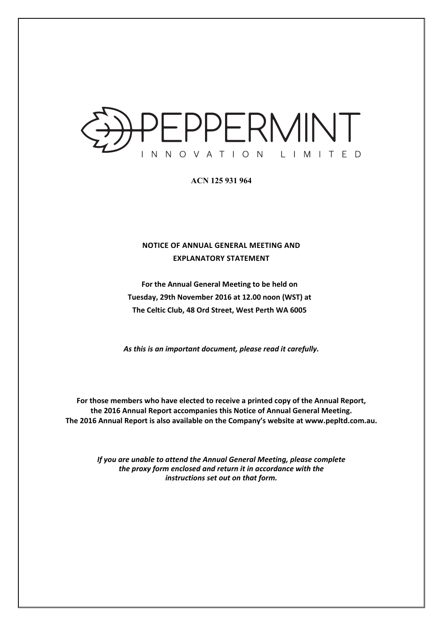

**ACN 125 931 964** 

## **NOTICE OF ANNUAL GENERAL MEETING AND EXPLANATORY STATEMENT**

**For the Annual General Meeting to be held on Tuesday, 29th November 2016 at 12.00 noon (WST) at The Celtic Club, 48 Ord Street, West Perth WA 6005** 

*As this is an important document, please read it carefully.* 

**For those members who have elected to receive a printed copy of the Annual Report, the 2016 Annual Report accompanies this Notice of Annual General Meeting. The 2016 Annual Report is also available on the Company's website at www.pepltd.com.au.** 

> *If you are unable to attend the Annual General Meeting, please complete the proxy form enclosed and return it in accordance with the instructions set out on that form.*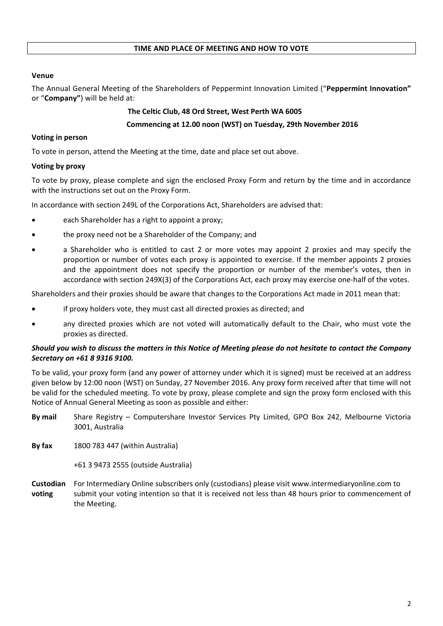#### **TIME AND PLACE OF MEETING AND HOW TO VOTE**

## **Venue**

The Annual General Meeting of the Shareholders of Peppermint Innovation Limited ("**Peppermint Innovation"** or "**Company"**) will be held at:

### **The Celtic Club, 48 Ord Street, West Perth WA 6005**

#### **Commencing at 12.00 noon (WST) on Tuesday, 29th November 2016**

## **Voting in person**

To vote in person, attend the Meeting at the time, date and place set out above.

### **Voting by proxy**

To vote by proxy, please complete and sign the enclosed Proxy Form and return by the time and in accordance with the instructions set out on the Proxy Form.

In accordance with section 249L of the Corporations Act, Shareholders are advised that:

- each Shareholder has a right to appoint a proxy;
- the proxy need not be a Shareholder of the Company; and
- a Shareholder who is entitled to cast 2 or more votes may appoint 2 proxies and may specify the proportion or number of votes each proxy is appointed to exercise. If the member appoints 2 proxies and the appointment does not specify the proportion or number of the member's votes, then in accordance with section 249X(3) of the Corporations Act, each proxy may exercise one-half of the votes.

Shareholders and their proxies should be aware that changes to the Corporations Act made in 2011 mean that:

- if proxy holders vote, they must cast all directed proxies as directed; and
- any directed proxies which are not voted will automatically default to the Chair, who must vote the proxies as directed.

### *Should you wish to discuss the matters in this Notice of Meeting please do not hesitate to contact the Company Secretary on +61 8 9316 9100.*

To be valid, your proxy form (and any power of attorney under which it is signed) must be received at an address given below by 12:00 noon (WST) on Sunday, 27 November 2016. Any proxy form received after that time will not be valid for the scheduled meeting. To vote by proxy, please complete and sign the proxy form enclosed with this Notice of Annual General Meeting as soon as possible and either:

- **By mail** Share Registry Computershare Investor Services Pty Limited, GPO Box 242, Melbourne Victoria 3001, Australia
- **By fax** 1800 783 447 (within Australia)

+61 3 9473 2555 (outside Australia)

**Custodian** For Intermediary Online subscribers only (custodians) please visit www.intermediaryonline.com to **voting** submit your voting intention so that it is received not less than 48 hours prior to commencement of the Meeting.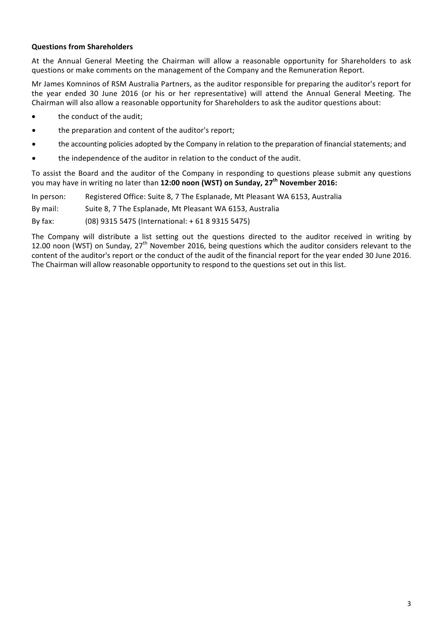## **Questions from Shareholders**

At the Annual General Meeting the Chairman will allow a reasonable opportunity for Shareholders to ask questions or make comments on the management of the Company and the Remuneration Report.

Mr James Komninos of RSM Australia Partners, as the auditor responsible for preparing the auditor's report for the year ended 30 June 2016 (or his or her representative) will attend the Annual General Meeting. The Chairman will also allow a reasonable opportunity for Shareholders to ask the auditor questions about:

- the conduct of the audit;
- the preparation and content of the auditor's report;
- the accounting policies adopted by the Company in relation to the preparation of financial statements; and
- the independence of the auditor in relation to the conduct of the audit.

To assist the Board and the auditor of the Company in responding to questions please submit any questions you may have in writing no later than **12:00 noon (WST) on Sunday, 27th November 2016:**

In person: Registered Office: Suite 8, 7 The Esplanade, Mt Pleasant WA 6153, Australia

By mail: Suite 8, 7 The Esplanade, Mt Pleasant WA 6153, Australia

By fax: (08) 9315 5475 (International: + 61 8 9315 5475)

The Company will distribute a list setting out the questions directed to the auditor received in writing by 12.00 noon (WST) on Sunday,  $27<sup>th</sup>$  November 2016, being questions which the auditor considers relevant to the content of the auditor's report or the conduct of the audit of the financial report for the year ended 30 June 2016. The Chairman will allow reasonable opportunity to respond to the questions set out in this list.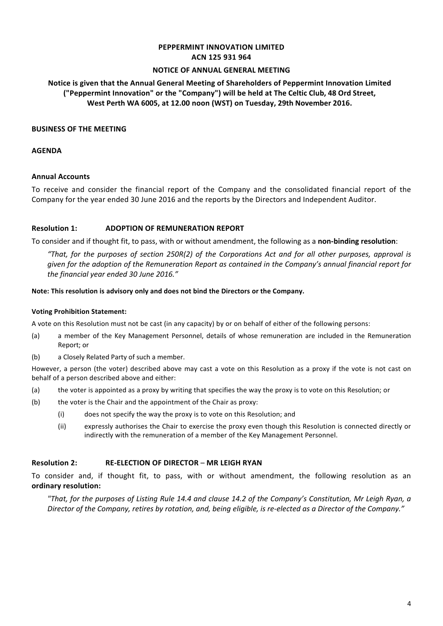#### **PEPPERMINT INNOVATION LIMITED ACN 125 931 964**

#### **NOTICE OF ANNUAL GENERAL MEETING**

## **Notice is given that the Annual General Meeting of Shareholders of Peppermint Innovation Limited ("Peppermint Innovation" or the "Company") will be held at The Celtic Club, 48 Ord Street, West Perth WA 6005, at 12.00 noon (WST) on Tuesday, 29th November 2016.**

#### **BUSINESS OF THE MEETING**

#### **AGENDA**

#### **Annual Accounts**

To receive and consider the financial report of the Company and the consolidated financial report of the Company for the year ended 30 June 2016 and the reports by the Directors and Independent Auditor.

#### **Resolution 1: ADOPTION OF REMUNERATION REPORT**

To consider and if thought fit, to pass, with or without amendment, the following as a **non-binding resolution**:

*"That, for the purposes of section 250R(2) of the Corporations Act and for all other purposes, approval is given for the adoption of the Remuneration Report as contained in the Company's annual financial report for the financial year ended 30 June 2016."* 

#### **Note: This resolution is advisory only and does not bind the Directors or the Company.**

#### **Voting Prohibition Statement:**

A vote on this Resolution must not be cast (in any capacity) by or on behalf of either of the following persons:

- (a) a member of the Key Management Personnel, details of whose remuneration are included in the Remuneration Report; or
- (b) a Closely Related Party of such a member.

However, a person (the voter) described above may cast a vote on this Resolution as a proxy if the vote is not cast on behalf of a person described above and either:

- (a) the voter is appointed as a proxy by writing that specifies the way the proxy is to vote on this Resolution; or
- (b) the voter is the Chair and the appointment of the Chair as proxy:
	- (i) does not specify the way the proxy is to vote on this Resolution; and
	- (ii) expressly authorises the Chair to exercise the proxy even though this Resolution is connected directly or indirectly with the remuneration of a member of the Key Management Personnel.

#### **Resolution 2: RE-ELECTION OF DIRECTOR** – **MR LEIGH RYAN**

To consider and, if thought fit, to pass, with or without amendment, the following resolution as an **ordinary resolution:** 

*"That, for the purposes of Listing Rule 14.4 and clause 14.2 of the Company's Constitution, Mr Leigh Ryan, a Director of the Company, retires by rotation, and, being eligible, is re-elected as a Director of the Company."*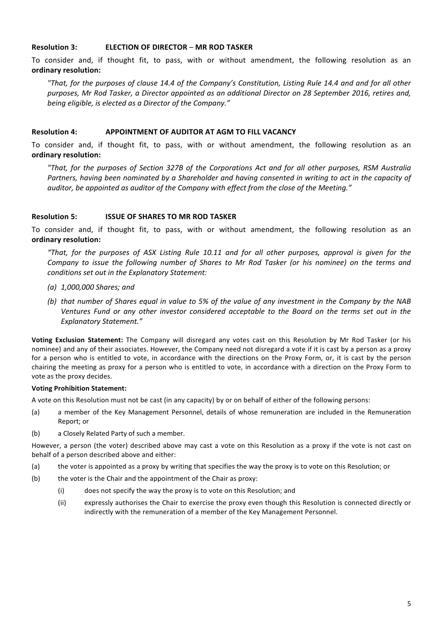#### **Resolution 3: ELECTION OF DIRECTOR** – **MR ROD TASKER**

To consider and, if thought fit, to pass, with or without amendment, the following resolution as an **ordinary resolution:** 

*"That, for the purposes of clause 14.4 of the Company's Constitution, Listing Rule 14.4 and and for all other purposes, Mr Rod Tasker, a Director appointed as an additional Director on 28 September 2016, retires and, being eligible, is elected as a Director of the Company."* 

#### **Resolution 4: APPOINTMENT OF AUDITOR AT AGM TO FILL VACANCY**

To consider and, if thought fit, to pass, with or without amendment, the following resolution as an **ordinary resolution:** 

*"That, for the purposes of Section 327B of the Corporations Act and for all other purposes, RSM Australia Partners, having been nominated by a Shareholder and having consented in writing to act in the capacity of auditor, be appointed as auditor of the Company with effect from the close of the Meeting."* 

#### **Resolution 5: ISSUE OF SHARES TO MR ROD TASKER**

To consider and, if thought fit, to pass, with or without amendment, the following resolution as an **ordinary resolution:** 

*"That, for the purposes of ASX Listing Rule 10.11 and for all other purposes, approval is given for the Company to issue the following number of Shares to Mr Rod Tasker (or his nominee) on the terms and conditions set out in the Explanatory Statement:* 

- *(a) 1,000,000 Shares; and*
- *(b) that number of Shares equal in value to 5% of the value of any investment in the Company by the NAB Ventures Fund or any other investor considered acceptable to the Board on the terms set out in the Explanatory Statement."*

**Voting Exclusion Statement:** The Company will disregard any votes cast on this Resolution by Mr Rod Tasker (or his nominee) and any of their associates. However, the Company need not disregard a vote if it is cast by a person as a proxy for a person who is entitled to vote, in accordance with the directions on the Proxy Form, or, it is cast by the person chairing the meeting as proxy for a person who is entitled to vote, in accordance with a direction on the Proxy Form to vote as the proxy decides.

#### **Voting Prohibition Statement:**

A vote on this Resolution must not be cast (in any capacity) by or on behalf of either of the following persons:

- (a) a member of the Key Management Personnel, details of whose remuneration are included in the Remuneration Report; or
- (b) a Closely Related Party of such a member.

However, a person (the voter) described above may cast a vote on this Resolution as a proxy if the vote is not cast on behalf of a person described above and either:

- (a) the voter is appointed as a proxy by writing that specifies the way the proxy is to vote on this Resolution; or
- (b) the voter is the Chair and the appointment of the Chair as proxy:
	- (i) does not specify the way the proxy is to vote on this Resolution; and
	- (ii) expressly authorises the Chair to exercise the proxy even though this Resolution is connected directly or indirectly with the remuneration of a member of the Key Management Personnel.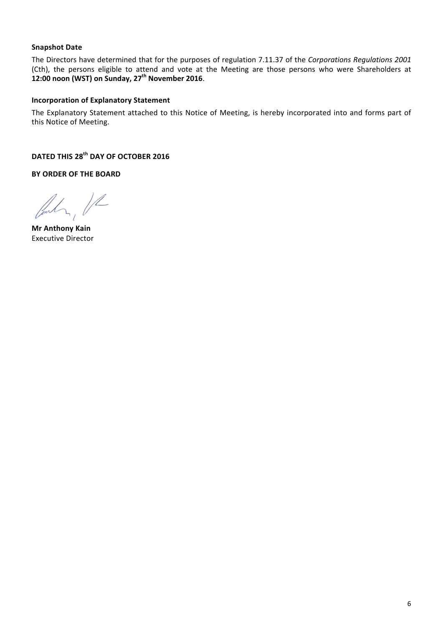## **Snapshot Date**

The Directors have determined that for the purposes of regulation 7.11.37 of the *Corporations Regulations 2001* (Cth), the persons eligible to attend and vote at the Meeting are those persons who were Shareholders at 12:00 noon (WST) on Sunday, 27<sup>th</sup> November 2016.

### **Incorporation of Explanatory Statement**

The Explanatory Statement attached to this Notice of Meeting, is hereby incorporated into and forms part of this Notice of Meeting.

**DATED THIS 28th DAY OF OCTOBER 2016** 

**BY ORDER OF THE BOARD** 

 $\frac{1}{2}$ 

**Mr Anthony Kain** Executive Director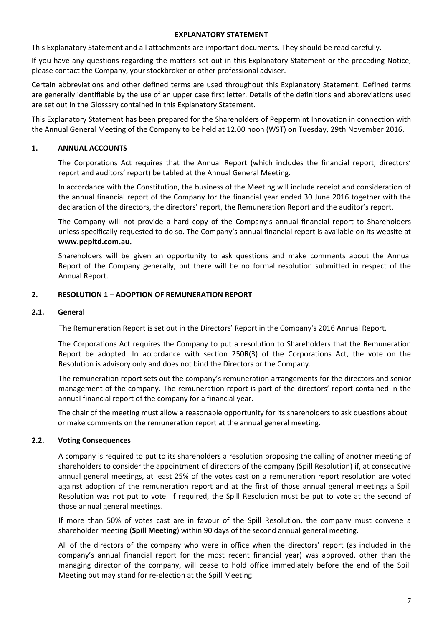#### **EXPLANATORY STATEMENT**

This Explanatory Statement and all attachments are important documents. They should be read carefully.

If you have any questions regarding the matters set out in this Explanatory Statement or the preceding Notice, please contact the Company, your stockbroker or other professional adviser.

Certain abbreviations and other defined terms are used throughout this Explanatory Statement. Defined terms are generally identifiable by the use of an upper case first letter. Details of the definitions and abbreviations used are set out in the Glossary contained in this Explanatory Statement.

This Explanatory Statement has been prepared for the Shareholders of Peppermint Innovation in connection with the Annual General Meeting of the Company to be held at 12.00 noon (WST) on Tuesday, 29th November 2016.

#### **1. ANNUAL ACCOUNTS**

The Corporations Act requires that the Annual Report (which includes the financial report, directors' report and auditors' report) be tabled at the Annual General Meeting.

In accordance with the Constitution, the business of the Meeting will include receipt and consideration of the annual financial report of the Company for the financial year ended 30 June 2016 together with the declaration of the directors, the directors' report, the Remuneration Report and the auditor's report.

The Company will not provide a hard copy of the Company's annual financial report to Shareholders unless specifically requested to do so. The Company's annual financial report is available on its website at **www.pepltd.com.au.** 

Shareholders will be given an opportunity to ask questions and make comments about the Annual Report of the Company generally, but there will be no formal resolution submitted in respect of the Annual Report.

#### **2. RESOLUTION 1 – ADOPTION OF REMUNERATION REPORT**

#### **2.1. General**

The Remuneration Report is set out in the Directors' Report in the Company's 2016 Annual Report.

The Corporations Act requires the Company to put a resolution to Shareholders that the Remuneration Report be adopted. In accordance with section 250R(3) of the Corporations Act, the vote on the Resolution is advisory only and does not bind the Directors or the Company.

The remuneration report sets out the company's remuneration arrangements for the directors and senior management of the company. The remuneration report is part of the directors' report contained in the annual financial report of the company for a financial year.

The chair of the meeting must allow a reasonable opportunity for its shareholders to ask questions about or make comments on the remuneration report at the annual general meeting.

#### **2.2. Voting Consequences**

A company is required to put to its shareholders a resolution proposing the calling of another meeting of shareholders to consider the appointment of directors of the company (Spill Resolution) if, at consecutive annual general meetings, at least 25% of the votes cast on a remuneration report resolution are voted against adoption of the remuneration report and at the first of those annual general meetings a Spill Resolution was not put to vote. If required, the Spill Resolution must be put to vote at the second of those annual general meetings.

If more than 50% of votes cast are in favour of the Spill Resolution, the company must convene a shareholder meeting (**Spill Meeting**) within 90 days of the second annual general meeting.

All of the directors of the company who were in office when the directors' report (as included in the company's annual financial report for the most recent financial year) was approved, other than the managing director of the company, will cease to hold office immediately before the end of the Spill Meeting but may stand for re-election at the Spill Meeting.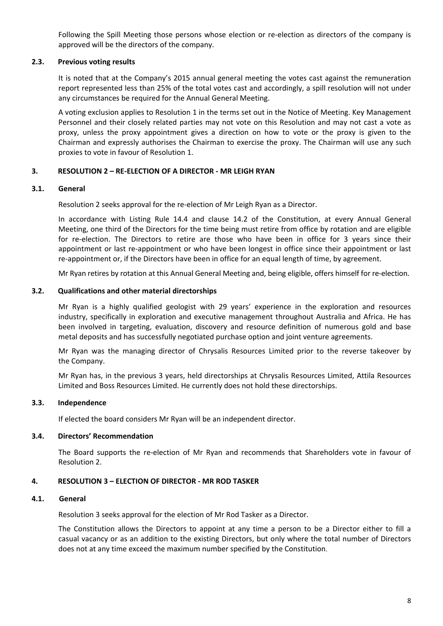Following the Spill Meeting those persons whose election or re-election as directors of the company is approved will be the directors of the company.

#### **2.3. Previous voting results**

It is noted that at the Company's 2015 annual general meeting the votes cast against the remuneration report represented less than 25% of the total votes cast and accordingly, a spill resolution will not under any circumstances be required for the Annual General Meeting.

A voting exclusion applies to Resolution 1 in the terms set out in the Notice of Meeting. Key Management Personnel and their closely related parties may not vote on this Resolution and may not cast a vote as proxy, unless the proxy appointment gives a direction on how to vote or the proxy is given to the Chairman and expressly authorises the Chairman to exercise the proxy. The Chairman will use any such proxies to vote in favour of Resolution 1.

## **3. RESOLUTION 2 – RE-ELECTION OF A DIRECTOR - MR LEIGH RYAN**

### **3.1. General**

Resolution 2 seeks approval for the re-election of Mr Leigh Ryan as a Director.

In accordance with Listing Rule 14.4 and clause 14.2 of the Constitution, at every Annual General Meeting, one third of the Directors for the time being must retire from office by rotation and are eligible for re-election. The Directors to retire are those who have been in office for 3 years since their appointment or last re-appointment or who have been longest in office since their appointment or last re-appointment or, if the Directors have been in office for an equal length of time, by agreement.

Mr Ryan retires by rotation at this Annual General Meeting and, being eligible, offers himself for re-election.

### **3.2. Qualifications and other material directorships**

Mr Ryan is a highly qualified geologist with 29 years' experience in the exploration and resources industry, specifically in exploration and executive management throughout Australia and Africa. He has been involved in targeting, evaluation, discovery and resource definition of numerous gold and base metal deposits and has successfully negotiated purchase option and joint venture agreements.

Mr Ryan was the managing director of Chrysalis Resources Limited prior to the reverse takeover by the Company.

Mr Ryan has, in the previous 3 years, held directorships at Chrysalis Resources Limited, Attila Resources Limited and Boss Resources Limited. He currently does not hold these directorships.

## **3.3. Independence**

If elected the board considers Mr Ryan will be an independent director.

## **3.4. Directors' Recommendation**

The Board supports the re-election of Mr Ryan and recommends that Shareholders vote in favour of Resolution 2.

## **4. RESOLUTION 3 – ELECTION OF DIRECTOR - MR ROD TASKER**

#### **4.1. General**

Resolution 3 seeks approval for the election of Mr Rod Tasker as a Director.

The Constitution allows the Directors to appoint at any time a person to be a Director either to fill a casual vacancy or as an addition to the existing Directors, but only where the total number of Directors does not at any time exceed the maximum number specified by the Constitution.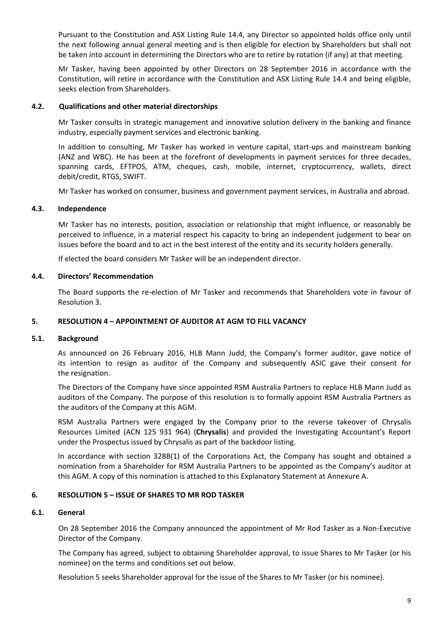Pursuant to the Constitution and ASX Listing Rule 14.4, any Director so appointed holds office only until the next following annual general meeting and is then eligible for election by Shareholders but shall not be taken into account in determining the Directors who are to retire by rotation (if any) at that meeting.

Mr Tasker, having been appointed by other Directors on 28 September 2016 in accordance with the Constitution, will retire in accordance with the Constitution and ASX Listing Rule 14.4 and being eligible, seeks election from Shareholders.

#### **4.2. Qualifications and other material directorships**

Mr Tasker consults in strategic management and innovative solution delivery in the banking and finance industry, especially payment services and electronic banking.

In addition to consulting, Mr Tasker has worked in venture capital, start-ups and mainstream banking (ANZ and WBC). He has been at the forefront of developments in payment services for three decades, spanning cards, EFTPOS, ATM, cheques, cash, mobile, internet, cryptocurrency, wallets, direct debit/credit, RTGS, SWIFT.

Mr Tasker has worked on consumer, business and government payment services, in Australia and abroad.

#### **4.3. Independence**

Mr Tasker has no interests, position, association or relationship that might influence, or reasonably be perceived to influence, in a material respect his capacity to bring an independent judgement to bear on issues before the board and to act in the best interest of the entity and its security holders generally.

If elected the board considers Mr Tasker will be an independent director.

#### **4.4. Directors' Recommendation**

The Board supports the re-election of Mr Tasker and recommends that Shareholders vote in favour of Resolution 3.

## **5. RESOLUTION 4 – APPOINTMENT OF AUDITOR AT AGM TO FILL VACANCY**

#### **5.1. Background**

As announced on 26 February 2016, HLB Mann Judd, the Company's former auditor, gave notice of its intention to resign as auditor of the Company and subsequently ASIC gave their consent for the resignation.

The Directors of the Company have since appointed RSM Australia Partners to replace HLB Mann Judd as auditors of the Company. The purpose of this resolution is to formally appoint RSM Australia Partners as the auditors of the Company at this AGM.

RSM Australia Partners were engaged by the Company prior to the reverse takeover of Chrysalis Resources Limited (ACN 125 931 964) (**Chrysalis**) and provided the Investigating Accountant's Report under the Prospectus issued by Chrysalis as part of the backdoor listing.

In accordance with section 328B(1) of the Corporations Act, the Company has sought and obtained a nomination from a Shareholder for RSM Australia Partners to be appointed as the Company's auditor at this AGM. A copy of this nomination is attached to this Explanatory Statement at Annexure A.

### **6. RESOLUTION 5 – ISSUE OF SHARES TO MR ROD TASKER**

#### **6.1. General**

On 28 September 2016 the Company announced the appointment of Mr Rod Tasker as a Non-Executive Director of the Company.

The Company has agreed, subject to obtaining Shareholder approval, to issue Shares to Mr Tasker (or his nominee) on the terms and conditions set out below.

Resolution 5 seeks Shareholder approval for the issue of the Shares to Mr Tasker (or his nominee).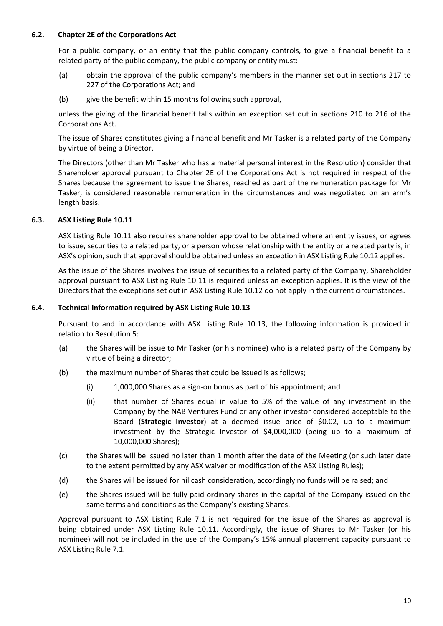## **6.2. Chapter 2E of the Corporations Act**

For a public company, or an entity that the public company controls, to give a financial benefit to a related party of the public company, the public company or entity must:

- (a) obtain the approval of the public company's members in the manner set out in sections 217 to 227 of the Corporations Act; and
- (b) give the benefit within 15 months following such approval,

unless the giving of the financial benefit falls within an exception set out in sections 210 to 216 of the Corporations Act.

The issue of Shares constitutes giving a financial benefit and Mr Tasker is a related party of the Company by virtue of being a Director.

The Directors (other than Mr Tasker who has a material personal interest in the Resolution) consider that Shareholder approval pursuant to Chapter 2E of the Corporations Act is not required in respect of the Shares because the agreement to issue the Shares, reached as part of the remuneration package for Mr Tasker, is considered reasonable remuneration in the circumstances and was negotiated on an arm's length basis.

### **6.3. ASX Listing Rule 10.11**

ASX Listing Rule 10.11 also requires shareholder approval to be obtained where an entity issues, or agrees to issue, securities to a related party, or a person whose relationship with the entity or a related party is, in ASX's opinion, such that approval should be obtained unless an exception in ASX Listing Rule 10.12 applies.

As the issue of the Shares involves the issue of securities to a related party of the Company, Shareholder approval pursuant to ASX Listing Rule 10.11 is required unless an exception applies. It is the view of the Directors that the exceptions set out in ASX Listing Rule 10.12 do not apply in the current circumstances.

#### **6.4. Technical Information required by ASX Listing Rule 10.13**

Pursuant to and in accordance with ASX Listing Rule 10.13, the following information is provided in relation to Resolution 5:

- (a) the Shares will be issue to Mr Tasker (or his nominee) who is a related party of the Company by virtue of being a director;
- (b) the maximum number of Shares that could be issued is as follows;
	- (i) 1,000,000 Shares as a sign-on bonus as part of his appointment; and
	- (ii) that number of Shares equal in value to 5% of the value of any investment in the Company by the NAB Ventures Fund or any other investor considered acceptable to the Board (**Strategic Investor**) at a deemed issue price of \$0.02, up to a maximum investment by the Strategic Investor of \$4,000,000 (being up to a maximum of 10,000,000 Shares);
- (c) the Shares will be issued no later than 1 month after the date of the Meeting (or such later date to the extent permitted by any ASX waiver or modification of the ASX Listing Rules);
- (d) the Shares will be issued for nil cash consideration, accordingly no funds will be raised; and
- (e) the Shares issued will be fully paid ordinary shares in the capital of the Company issued on the same terms and conditions as the Company's existing Shares.

Approval pursuant to ASX Listing Rule 7.1 is not required for the issue of the Shares as approval is being obtained under ASX Listing Rule 10.11. Accordingly, the issue of Shares to Mr Tasker (or his nominee) will not be included in the use of the Company's 15% annual placement capacity pursuant to ASX Listing Rule 7.1.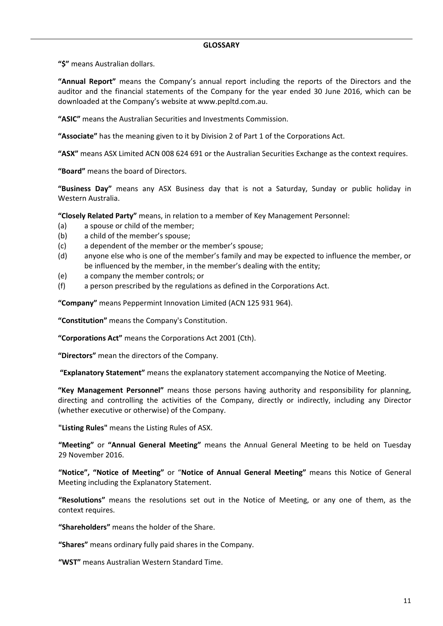**"\$"** means Australian dollars.

**"Annual Report"** means the Company's annual report including the reports of the Directors and the auditor and the financial statements of the Company for the year ended 30 June 2016, which can be downloaded at the Company's website at www.pepltd.com.au.

**"ASIC"** means the Australian Securities and Investments Commission.

**"Associate"** has the meaning given to it by Division 2 of Part 1 of the Corporations Act.

**"ASX"** means ASX Limited ACN 008 624 691 or the Australian Securities Exchange as the context requires.

**"Board"** means the board of Directors.

**"Business Day"** means any ASX Business day that is not a Saturday, Sunday or public holiday in Western Australia.

**"Closely Related Party"** means, in relation to a member of Key Management Personnel:

- (a) a spouse or child of the member;
- (b) a child of the member's spouse;
- (c) a dependent of the member or the member's spouse;
- (d) anyone else who is one of the member's family and may be expected to influence the member, or be influenced by the member, in the member's dealing with the entity;
- (e) a company the member controls; or
- (f) a person prescribed by the regulations as defined in the Corporations Act.

**"Company"** means Peppermint Innovation Limited (ACN 125 931 964).

**"Constitution"** means the Company's Constitution.

**"Corporations Act"** means the Corporations Act 2001 (Cth).

**"Directors"** mean the directors of the Company.

 **"Explanatory Statement"** means the explanatory statement accompanying the Notice of Meeting.

**"Key Management Personnel"** means those persons having authority and responsibility for planning, directing and controlling the activities of the Company, directly or indirectly, including any Director (whether executive or otherwise) of the Company.

**"Listing Rules"** means the Listing Rules of ASX.

**"Meeting"** or **"Annual General Meeting"** means the Annual General Meeting to be held on Tuesday 29 November 2016.

**"Notice", "Notice of Meeting"** or "**Notice of Annual General Meeting"** means this Notice of General Meeting including the Explanatory Statement.

**"Resolutions"** means the resolutions set out in the Notice of Meeting, or any one of them, as the context requires.

**"Shareholders"** means the holder of the Share.

**"Shares"** means ordinary fully paid shares in the Company.

**"WST"** means Australian Western Standard Time.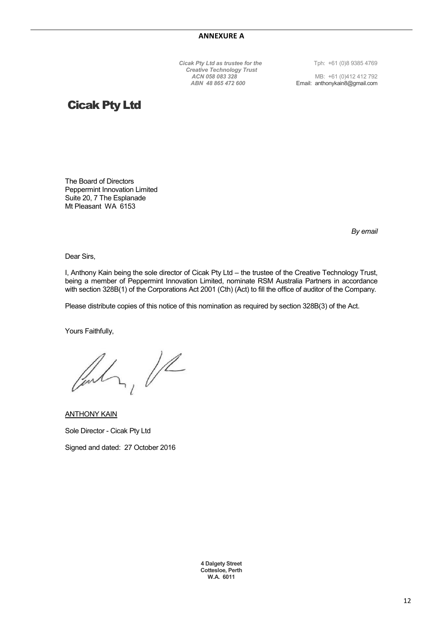**Cicak Pty Ltd as trustee for the** Tph: +61 (0)8 9385 4769 *Creative Technology Trust*

 *ACN 058 083 328* MB: +61 (0)412 412 792 *ABN 48 865 472 600* Email: anthonykain8@gmail.com

# Cicak Pty Ltd

The Board of Directors Peppermint Innovation Limited Suite 20, 7 The Esplanade Mt Pleasant WA 6153

*By email* 

Dear Sirs,

I, Anthony Kain being the sole director of Cicak Pty Ltd – the trustee of the Creative Technology Trust, being a member of Peppermint Innovation Limited, nominate RSM Australia Partners in accordance with section 328B(1) of the Corporations Act 2001 (Cth) (Act) to fill the office of auditor of the Company.

Please distribute copies of this notice of this nomination as required by section 328B(3) of the Act.

Yours Faithfully,

 $2,1/2$ 

ANTHONY KAIN Sole Director - Cicak Pty Ltd Signed and dated: 27 October 2016

> **4 Dalgety Street Cottesloe, Perth W.A. 6011**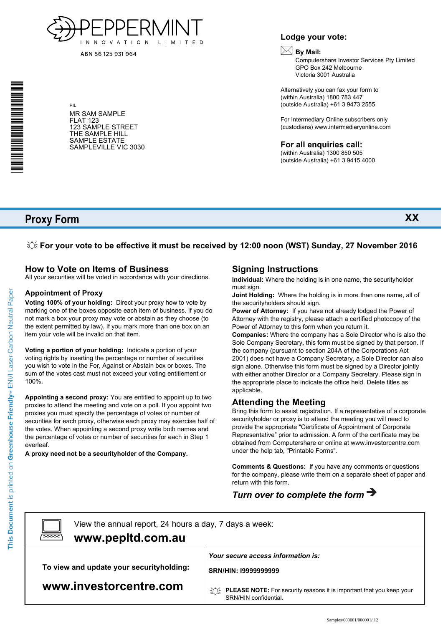

ABN 56 125 931 964

\* S0000112<br>S0000112<br>S0000112

#### MR SAM SAMPLE FLAT 123 123 SAMPLE STREET THE SAMPLE HILL SAMPLE ESTATE SAMPLEVILLE VIC 3030

PIL

## **Lodge your vote:**

## **By Mail:**

Computershare Investor Services Pty Limited GPO Box 242 Melbourne Victoria 3001 Australia

Alternatively you can fax your form to (within Australia) 1800 783 447 (outside Australia) +61 3 9473 2555

For Intermediary Online subscribers only (custodians) www.intermediaryonline.com

#### **For all enquiries call:**

(within Australia) 1300 850 505 (outside Australia) +61 3 9415 4000

# **Proxy Form**

**XX**

## **For your vote to be effective it must be received by 12:00 noon (WST) Sunday, 27 November 2016**

## **How to Vote on Items of Business**

All your securities will be voted in accordance with your directions.

#### **Appointment of Proxy**

**Voting 100% of your holding:** Direct your proxy how to vote by marking one of the boxes opposite each item of business. If you do not mark a box your proxy may vote or abstain as they choose (to the extent permitted by law). If you mark more than one box on an item your vote will be invalid on that item.

**Voting a portion of your holding:** Indicate a portion of your voting rights by inserting the percentage or number of securities you wish to vote in the For, Against or Abstain box or boxes. The sum of the votes cast must not exceed your voting entitlement or 100%.

**Appointing a second proxy:** You are entitled to appoint up to two proxies to attend the meeting and vote on a poll. If you appoint two proxies you must specify the percentage of votes or number of securities for each proxy, otherwise each proxy may exercise half of the votes. When appointing a second proxy write both names and the percentage of votes or number of securities for each in Step 1 overleaf.

**A proxy need not be a securityholder of the Company.**

## **Signing Instructions**

**Individual:** Where the holding is in one name, the securityholder must sign.

**Joint Holding:** Where the holding is in more than one name, all of the securityholders should sign.

**Power of Attorney:** If you have not already lodged the Power of Attorney with the registry, please attach a certified photocopy of the Power of Attorney to this form when you return it.

**Companies:** Where the company has a Sole Director who is also the Sole Company Secretary, this form must be signed by that person. If the company (pursuant to section 204A of the Corporations Act 2001) does not have a Company Secretary, a Sole Director can also sign alone. Otherwise this form must be signed by a Director jointly with either another Director or a Company Secretary. Please sign in the appropriate place to indicate the office held. Delete titles as applicable.

#### **Attending the Meeting**

Bring this form to assist registration. If a representative of a corporate securityholder or proxy is to attend the meeting you will need to provide the appropriate "Certificate of Appointment of Corporate Representative" prior to admission. A form of the certificate may be obtained from Computershare or online at www.investorcentre.com under the help tab, "Printable Forms".

**Comments & Questions:** If you have any comments or questions for the company, please write them on a separate sheet of paper and return with this form.

# *Turn over to complete the form*

 $\boxed{\square}$ 

View the annual report, 24 hours a day, 7 days a week:

## **www.pepltd.com.au**

**To view and update your securityholding:**

*Your secure access information is:*

**SRN/HIN: I9999999999**

**www.investorcentre.com**

**PLEASE NOTE:** For security reasons it is important that you keep your SRN/HIN confidential.